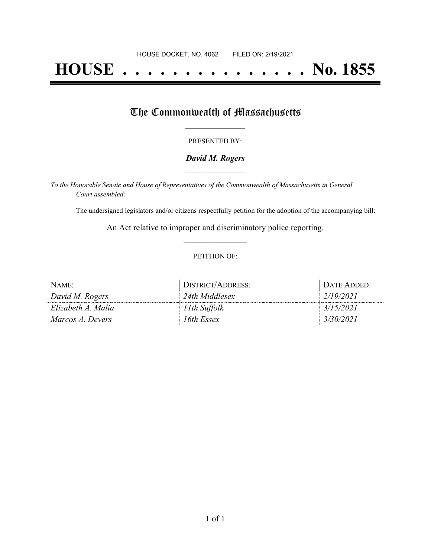# **HOUSE . . . . . . . . . . . . . . . No. 1855**

## The Commonwealth of Massachusetts

#### PRESENTED BY:

#### *David M. Rogers* **\_\_\_\_\_\_\_\_\_\_\_\_\_\_\_\_\_**

*To the Honorable Senate and House of Representatives of the Commonwealth of Massachusetts in General Court assembled:*

The undersigned legislators and/or citizens respectfully petition for the adoption of the accompanying bill:

An Act relative to improper and discriminatory police reporting. **\_\_\_\_\_\_\_\_\_\_\_\_\_\_\_**

#### PETITION OF:

| NAME:              | DISTRICT/ADDRESS: | Date Added: |
|--------------------|-------------------|-------------|
| David M. Rogers    | 24th Middlesex    | 2/19/2021   |
| Elizabeth A. Malia | 11th Suffolk      | 3/15/2021   |
| Marcos A. Devers   | 16th Essex        | 3/30/2021   |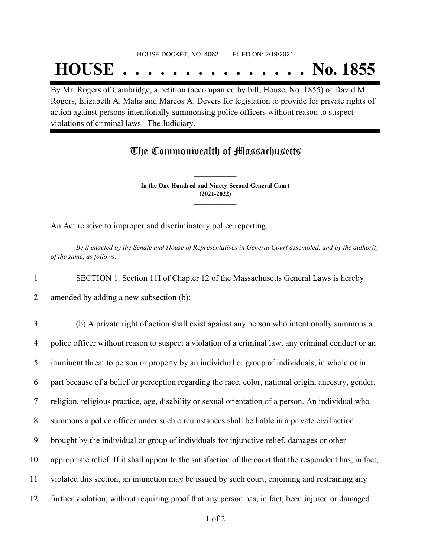#### HOUSE DOCKET, NO. 4062 FILED ON: 2/19/2021

## **HOUSE . . . . . . . . . . . . . . . No. 1855**

By Mr. Rogers of Cambridge, a petition (accompanied by bill, House, No. 1855) of David M. Rogers, Elizabeth A. Malia and Marcos A. Devers for legislation to provide for private rights of action against persons intentionally summonsing police officers without reason to suspect violations of criminal laws. The Judiciary.

### The Commonwealth of Massachusetts

**In the One Hundred and Ninety-Second General Court (2021-2022) \_\_\_\_\_\_\_\_\_\_\_\_\_\_\_**

**\_\_\_\_\_\_\_\_\_\_\_\_\_\_\_**

An Act relative to improper and discriminatory police reporting.

Be it enacted by the Senate and House of Representatives in General Court assembled, and by the authority *of the same, as follows:*

1 SECTION 1. Section 11I of Chapter 12 of the Massachusetts General Laws is hereby

2 amended by adding a new subsection (b):

 (b) A private right of action shall exist against any person who intentionally summons a police officer without reason to suspect a violation of a criminal law, any criminal conduct or an imminent threat to person or property by an individual or group of individuals, in whole or in part because of a belief or perception regarding the race, color, national origin, ancestry, gender, religion, religious practice, age, disability or sexual orientation of a person. An individual who summons a police officer under such circumstances shall be liable in a private civil action brought by the individual or group of individuals for injunctive relief, damages or other appropriate relief. If it shall appear to the satisfaction of the court that the respondent has, in fact, violated this section, an injunction may be issued by such court, enjoining and restraining any further violation, without requiring proof that any person has, in fact, been injured or damaged